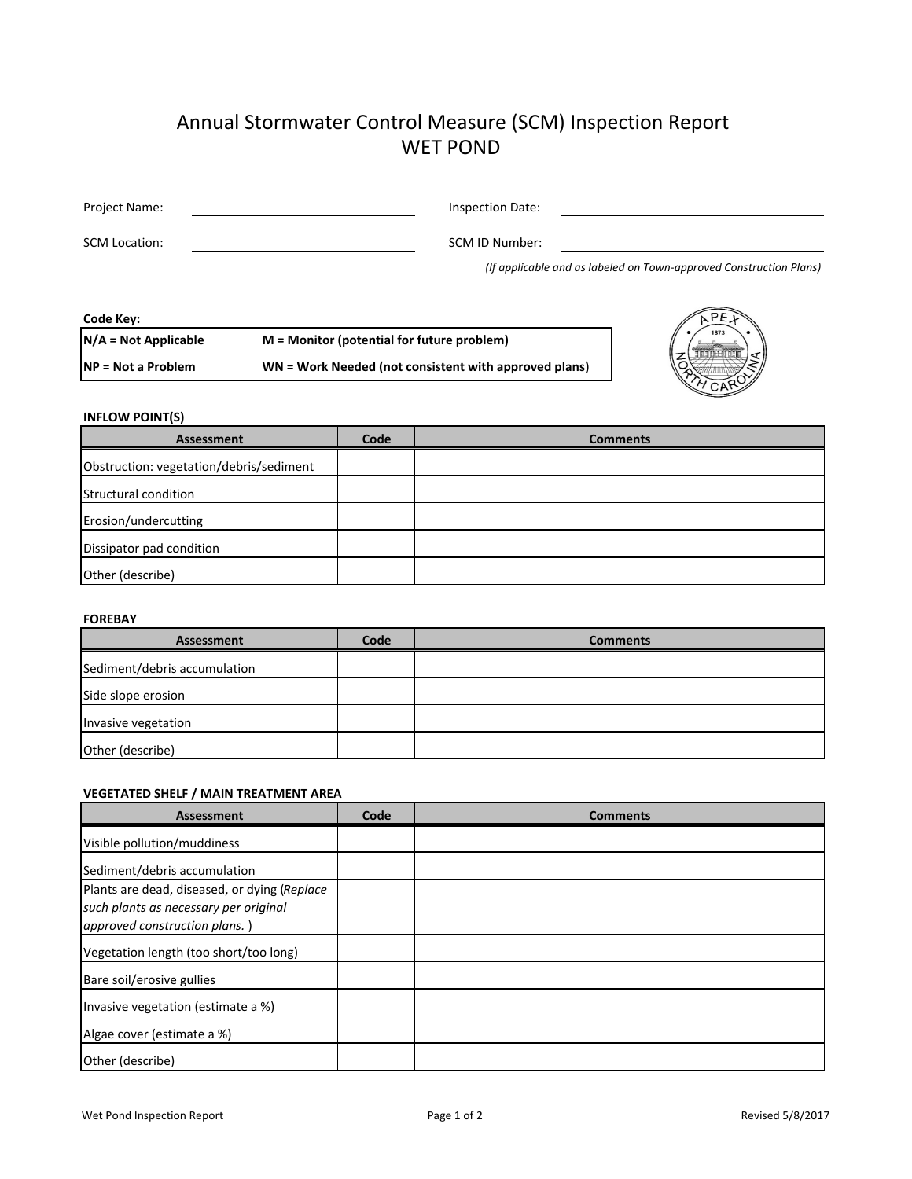# Annual Stormwater Control Measure (SCM) Inspection Report WET POND

| Project Name:        | Inspection Date: |                                                                    |
|----------------------|------------------|--------------------------------------------------------------------|
| <b>SCM Location:</b> | SCM ID Number:   |                                                                    |
|                      |                  | (If applicable and as labeled on Town-approved Construction Plans) |

#### **Code Key: N/A = Not Applicable NP = Not a Problem M = Monitor (potential for future problem) WN = Work Needed (not consistent with approved plans)**



## **INFLOW POINT(S)**

| <b>Assessment</b>                       | Code | <b>Comments</b> |
|-----------------------------------------|------|-----------------|
| Obstruction: vegetation/debris/sediment |      |                 |
| Structural condition                    |      |                 |
| Erosion/undercutting                    |      |                 |
| Dissipator pad condition                |      |                 |
| Other (describe)                        |      |                 |

### **FOREBAY**

| Assessment                   | Code | <b>Comments</b> |
|------------------------------|------|-----------------|
| Sediment/debris accumulation |      |                 |
| Side slope erosion           |      |                 |
| Invasive vegetation          |      |                 |
| Other (describe)             |      |                 |

## **VEGETATED SHELF / MAIN TREATMENT AREA**

| Assessment                                                                                                            | Code | <b>Comments</b> |
|-----------------------------------------------------------------------------------------------------------------------|------|-----------------|
| Visible pollution/muddiness                                                                                           |      |                 |
| Sediment/debris accumulation                                                                                          |      |                 |
| Plants are dead, diseased, or dying (Replace<br>such plants as necessary per original<br>approved construction plans. |      |                 |
| Vegetation length (too short/too long)                                                                                |      |                 |
| Bare soil/erosive gullies                                                                                             |      |                 |
| Invasive vegetation (estimate a %)                                                                                    |      |                 |
| Algae cover (estimate a %)                                                                                            |      |                 |
| Other (describe)                                                                                                      |      |                 |